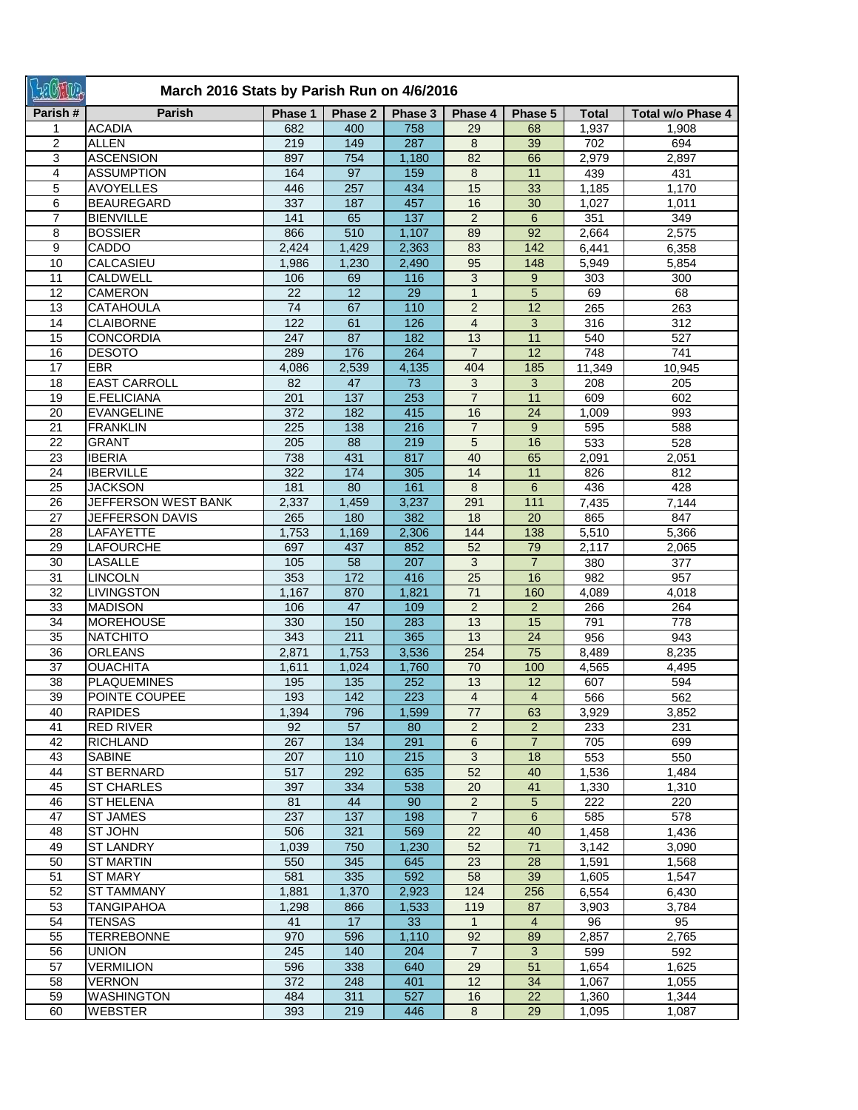| Latina          | March 2016 Stats by Parish Run on 4/6/2016 |            |                 |                  |                 |                 |                |                          |  |  |
|-----------------|--------------------------------------------|------------|-----------------|------------------|-----------------|-----------------|----------------|--------------------------|--|--|
| Parish#         | <b>Parish</b>                              | Phase 1    | Phase 2         | Phase 3          | Phase 4         | Phase 5         | <b>Total</b>   | <b>Total w/o Phase 4</b> |  |  |
|                 | <b>ACADIA</b>                              | 682        | 400             | 758              | 29              | 68              | 1,937          | 1,908                    |  |  |
| $\overline{2}$  | <b>ALLEN</b>                               | 219        | 149             | 287              | 8               | 39              | 702            | 694                      |  |  |
| 3               | <b>ASCENSION</b>                           | 897        | 754             | 1,180            | 82              | 66              | 2,979          | 2,897                    |  |  |
| 4               | <b>ASSUMPTION</b>                          | 164        | 97              | 159              | 8               | 11              | 439            | 431                      |  |  |
| 5               | <b>AVOYELLES</b>                           | 446        | 257             | 434              | 15              | 33              | 1,185          | 1,170                    |  |  |
| 6               | <b>BEAUREGARD</b>                          | 337        | 187             | 457              | 16              | 30              | 1,027          | 1,011                    |  |  |
| $\overline{7}$  | <b>BIENVILLE</b>                           | 141        | 65              | $\overline{137}$ | $\overline{2}$  | $6\phantom{1}$  | 351            | 349                      |  |  |
| 8               | <b>BOSSIER</b>                             | 866        | 510             | 1,107            | 89              | 92              | 2,664          | 2,575                    |  |  |
| 9               | CADDO                                      | 2,424      | 1,429           | 2,363            | 83              | 142             | 6,441          | 6,358                    |  |  |
| 10              | CALCASIEU                                  | 1,986      | 1,230           | 2,490            | 95              | 148             | 5,949          | 5,854                    |  |  |
| 11              | <b>CALDWELL</b>                            | 106        | 69              | 116              | 3               | 9               | 303            | 300                      |  |  |
| 12              | <b>CAMERON</b>                             | 22         | $\overline{12}$ | 29               | $\mathbf{1}$    | $\overline{5}$  | 69             | 68                       |  |  |
| 13              | <b>CATAHOULA</b>                           | 74         | 67              | 110              | $\overline{2}$  | $\overline{12}$ | 265            | 263                      |  |  |
| 14              | <b>CLAIBORNE</b>                           | 122        | 61              | 126              | $\overline{4}$  | 3               | 316            | 312                      |  |  |
| 15              | <b>CONCORDIA</b>                           | 247        | 87              | 182              | $\overline{13}$ | 11              | 540            | 527                      |  |  |
| 16              | <b>DESOTO</b>                              | 289        | 176             | 264              | $\overline{7}$  | $\overline{12}$ | 748            | 741                      |  |  |
| $\overline{17}$ | <b>EBR</b>                                 | 4,086      | 2,539           | 4,135            | 404             | 185             | 11,349         | 10,945                   |  |  |
| 18              | <b>EAST CARROLL</b>                        | 82         | 47              | 73               | 3               | 3               | 208            | 205                      |  |  |
| 19              | E.FELICIANA                                | 201        | 137             | 253              | $\overline{7}$  | 11              | 609            | 602                      |  |  |
| 20              | <b>EVANGELINE</b>                          | 372        | 182             | 415              | 16              | 24              | 1,009          | 993                      |  |  |
| 21              | <b>FRANKLIN</b>                            | 225        | 138             | 216              | $\overline{7}$  | 9               | 595            | 588                      |  |  |
| 22              | <b>GRANT</b>                               | 205        | 88              | 219              | 5               | 16              | 533            | 528                      |  |  |
| 23              | <b>IBERIA</b>                              | 738        | 431             | 817              | 40              | 65              | 2,091          | 2,051                    |  |  |
| 24              | <b>IBERVILLE</b>                           | 322        | 174             | 305              | 14              | 11              | 826            | 812                      |  |  |
| 25              | <b>JACKSON</b>                             | 181        | 80              | 161              | 8               | $6\phantom{1}$  | 436            | 428                      |  |  |
| 26              | JEFFERSON WEST BANK                        | 2,337      | 1,459           | 3,237            | 291             | 111             | 7,435          | 7,144                    |  |  |
| 27              | JEFFERSON DAVIS                            | 265        | 180             | 382              | 18              | 20              | 865            | 847                      |  |  |
| 28              | LAFAYETTE                                  | 1,753      | 1,169           | 2,306            | 144             | 138             | 5,510          | 5,366                    |  |  |
| 29              | LAFOURCHE                                  | 697        | 437             | 852              | 52              | 79              | 2,117          | 2,065                    |  |  |
| 30              | <b>LASALLE</b>                             | 105        | 58              | 207              | 3               | $\overline{7}$  | 380            | 377                      |  |  |
| $\overline{31}$ | <b>LINCOLN</b>                             | 353        | 172             | 416              | 25              | 16              | 982            | 957                      |  |  |
| 32              | <b>LIVINGSTON</b>                          | 1,167      | 870             | 1,821            | 71              | 160             | 4,089          | 4,018                    |  |  |
| 33              | <b>MADISON</b>                             | 106        | 47              | 109              | $\overline{2}$  | 2               | 266            | 264                      |  |  |
| 34              | <b>MOREHOUSE</b>                           | 330        | 150             | 283              | 13              | 15              | 791            | 778                      |  |  |
| 35              | <b>NATCHITO</b>                            | 343        | 211             | 365              | 13              | 24              | 956            | 943                      |  |  |
| 36              | <b>ORLEANS</b>                             | 2,871      | 1,753           | 3,536            | 254             | 75              | 8,489          | 8,235                    |  |  |
| 37              | <b>OUACHITA</b>                            | 1,611      | 1,024           | 1,760            | 70              | 100             | 4,565          | 4,495                    |  |  |
| 38              | <b>PLAQUEMINES</b>                         | 195        | 135             | 252              | 13              | 12              | 607            | 594                      |  |  |
| 39              | POINTE COUPEE                              | 193        | 142             | 223              | $\overline{4}$  | $\overline{4}$  | 566            | 562                      |  |  |
| 40              | <b>RAPIDES</b>                             | 1,394      | 796             | 1,599            | 77              | 63              | 3,929          | 3,852                    |  |  |
| 41              | RED RIVER                                  | 92         | 57              | 80               | $2^{\circ}$     | $\overline{2}$  | 233            | 231                      |  |  |
| 42              | <b>RICHLAND</b>                            | 267        | 134             | 291              | 6               | $\overline{7}$  | 705            | 699                      |  |  |
| 43              | <b>SABINE</b>                              | 207        | 110             | 215              | 3               | 18              | 553            | 550                      |  |  |
| 44              | <b>ST BERNARD</b>                          | 517        | 292             | 635              | 52              | 40              | 1,536          | 1,484                    |  |  |
| 45              | <b>ST CHARLES</b>                          | 397        | 334             | 538              | 20              | 41              | 1,330          | 1,310                    |  |  |
| 46              | <b>ST HELENA</b>                           | 81         | 44              | 90               | $\overline{2}$  | 5               | 222            | 220                      |  |  |
| 47              | <b>ST JAMES</b>                            | 237        | 137             | 198              | $\overline{7}$  | $6\phantom{1}$  | 585            | 578                      |  |  |
| 48              | ST JOHN                                    | 506        | 321             | 569              | 22              | 40              | 1,458          | 1,436                    |  |  |
| 49              | <b>ST LANDRY</b>                           | 1,039      | 750             | 1,230            | 52              | 71              | 3,142          | 3,090                    |  |  |
| 50              | <b>ST MARTIN</b>                           | 550        | 345             | 645              | 23              | 28              | 1,591          | 1,568                    |  |  |
| 51              | ST MARY                                    | 581        | 335             | 592              | 58              | 39              | 1,605          | 1,547                    |  |  |
| 52              | <b>ST TAMMANY</b>                          | 1,881      | 1,370           | 2,923            | 124             | 256             | 6,554          | 6,430                    |  |  |
| 53              | <b>TANGIPAHOA</b>                          | 1,298      | 866             | 1,533            | 119             | 87              | 3,903          | 3,784                    |  |  |
| 54              | <b>TENSAS</b>                              | 41         | 17              | 33               | $\mathbf{1}$    | $\overline{4}$  | 96             | 95                       |  |  |
| 55              | <b>TERREBONNE</b>                          | 970        | 596             | 1,110            | 92              | 89              | 2,857          | 2,765                    |  |  |
| 56              | <b>UNION</b>                               | 245        |                 | 204              | $\overline{7}$  | 3               | 599            | 592                      |  |  |
| 57              | <b>VERMILION</b>                           |            | 140<br>338      | 640              | 29              | 51              |                | 1,625                    |  |  |
| 58              | <b>VERNON</b>                              | 596<br>372 | 248             | 401              | 12              | 34              | 1,654<br>1,067 |                          |  |  |
|                 |                                            |            |                 |                  |                 |                 |                | 1,055                    |  |  |
| 59              | <b>WASHINGTON</b>                          | 484        | 311             | 527              | 16              | 22              | 1,360          | 1,344                    |  |  |
| 60              | <b>WEBSTER</b>                             | 393        | 219             | 446              | 8               | 29              | 1,095          | 1,087                    |  |  |